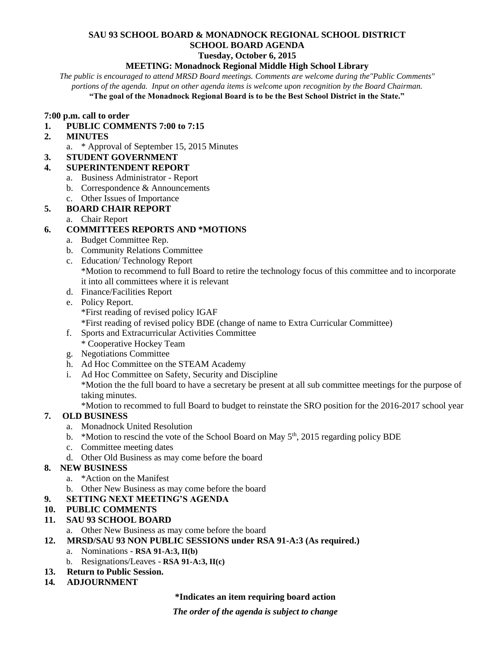# **SAU 93 SCHOOL BOARD & MONADNOCK REGIONAL SCHOOL DISTRICT SCHOOL BOARD AGENDA**

#### **Tuesday, October 6, 2015**

#### **MEETING: Monadnock Regional Middle High School Library**

*The public is encouraged to attend MRSD Board meetings. Comments are welcome during the"Public Comments" portions of the agenda. Input on other agenda items is welcome upon recognition by the Board Chairman.*

**"The goal of the Monadnock Regional Board is to be the Best School District in the State."**

#### **7:00 p.m. call to order**

- **1. PUBLIC COMMENTS 7:00 to 7:15**
- **2. MINUTES** 
	- a. \* Approval of September 15, 2015 Minutes
- **3. STUDENT GOVERNMENT**

#### **4. SUPERINTENDENT REPORT**

- a. Business Administrator Report
- b. Correspondence & Announcements
- c. Other Issues of Importance

# **5. BOARD CHAIR REPORT**

a. Chair Report

## **6. COMMITTEES REPORTS AND \*MOTIONS**

- a. Budget Committee Rep.
- b. Community Relations Committee
- c. Education/ Technology Report \*Motion to recommend to full Board to retire the technology focus of this committee and to incorporate it into all committees where it is relevant
- d. Finance/Facilities Report
- e. Policy Report. \*First reading of revised policy IGAF
- \*First reading of revised policy BDE (change of name to Extra Curricular Committee)
- f. Sports and Extracurricular Activities Committee \* Cooperative Hockey Team
- 
- g. Negotiations Committee
- h. Ad Hoc Committee on the STEAM Academy
- i. Ad Hoc Committee on Safety, Security and Discipline \*Motion the the full board to have a secretary be present at all sub committee meetings for the purpose of taking minutes.

\*Motion to recommed to full Board to budget to reinstate the SRO position for the 2016-2017 school year

## **7. OLD BUSINESS**

- a. Monadnock United Resolution
- b. \*Motion to rescind the vote of the School Board on May  $5<sup>th</sup>$ , 2015 regarding policy BDE
- c. Committee meeting dates
- d. Other Old Business as may come before the board

## **8. NEW BUSINESS**

- a. \*Action on the Manifest
- b. Other New Business as may come before the board
- **9. SETTING NEXT MEETING'S AGENDA**

## **10. PUBLIC COMMENTS**

## **11. SAU 93 SCHOOL BOARD**

- a. Other New Business as may come before the board
- **12. MRSD/SAU 93 NON PUBLIC SESSIONS under RSA 91-A:3 (As required.)**
	- a. Nominations **RSA 91-A:3, II(b)**
		- b. Resignations/Leaves **RSA 91-A:3, II(c)**
- **13. Return to Public Session.**
- **14***.* **ADJOURNMENT**

#### **\*Indicates an item requiring board action**

*The order of the agenda is subject to change*